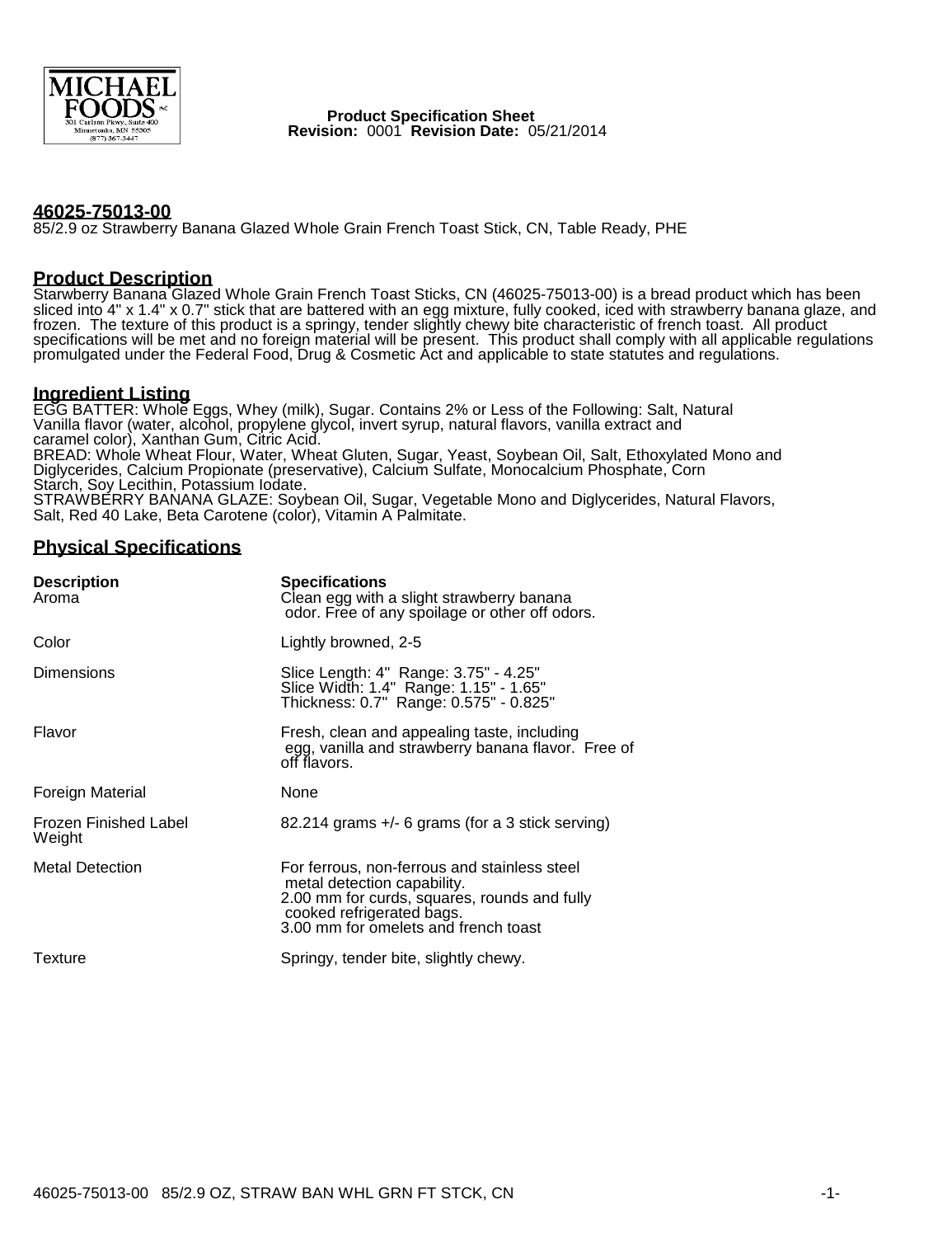

 **Product Specification Sheet Revision:** 0001 **Revision Date:** 05/21/2014

#### **46025-75013-00**

85/2.9 oz Strawberry Banana Glazed Whole Grain French Toast Stick, CN, Table Ready, PHE

#### **Product Description**

Starwberry Banana Glazed Whole Grain French Toast Sticks, CN (46025-75013-00) is a bread product which has been sliced into 4" x 1.4" x 0.7" stick that are battered with an egg mixture, fully cooked, iced with strawberry banana glaze, and frozen. The texture of this product is a springy, tender slightly chewy bite characteristic of french toast. All product specifications will be met and no foreign material will be present. This product shall comply with all applicable regulations promulgated under the Federal Food, Drug & Cosmetic Act and applicable to state statutes and regulations.

#### **Ingredient Listing**

EGG BATTER: Whole Eggs, Whey (milk), Sugar. Contains 2% or Less of the Following: Salt, Natural Vanilla flavor (water, alcohol, propylene glycol, invert syrup, natural flavors, vanilla extract and caramel color), Xanthan Gum, Citric Acid. BREAD: Whole Wheat Flour, Water, Wheat Gluten, Sugar, Yeast, Soybean Oil, Salt, Ethoxylated Mono and Diglycerides, Calcium Propionate (preservative), Calcium Sulfate, Monocalcium Phosphate, Corn Starch, Soy Lecithin, Potassium Iodate. STRAWBERRY BANANA GLAZE: Soybean Oil, Sugar, Vegetable Mono and Diglycerides, Natural Flavors, Salt, Red 40 Lake, Beta Carotene (color), Vitamin A Palmitate.

# **Physical Specifications**

| <b>Description</b><br>Aroma     | <b>Specifications</b><br>Clean egg with a slight strawberry banana<br>odor. Free of any spoilage or other off odors.                                                                             |  |
|---------------------------------|--------------------------------------------------------------------------------------------------------------------------------------------------------------------------------------------------|--|
| Color                           | Lightly browned, 2-5                                                                                                                                                                             |  |
| <b>Dimensions</b>               | Slice Length: 4" Range: 3.75" - 4.25"<br>Slice Width: 1.4" Range: 1.15" - 1.65"<br>Thickness: 0.7" Range: 0.575" - 0.825"                                                                        |  |
| Flavor                          | Fresh, clean and appealing taste, including<br>egg, vanilla and strawberry banana flavor. Free of<br>off flavors.                                                                                |  |
| Foreign Material                | None                                                                                                                                                                                             |  |
| Frozen Finished Label<br>Weight | $82.214$ grams $+/-$ 6 grams (for a 3 stick serving)                                                                                                                                             |  |
| <b>Metal Detection</b>          | For ferrous, non-ferrous and stainless steel<br>metal detection capability.<br>2.00 mm for curds, squares, rounds and fully<br>cooked refrigerated bags.<br>3.00 mm for omelets and french toast |  |
| Texture                         | Springy, tender bite, slightly chewy.                                                                                                                                                            |  |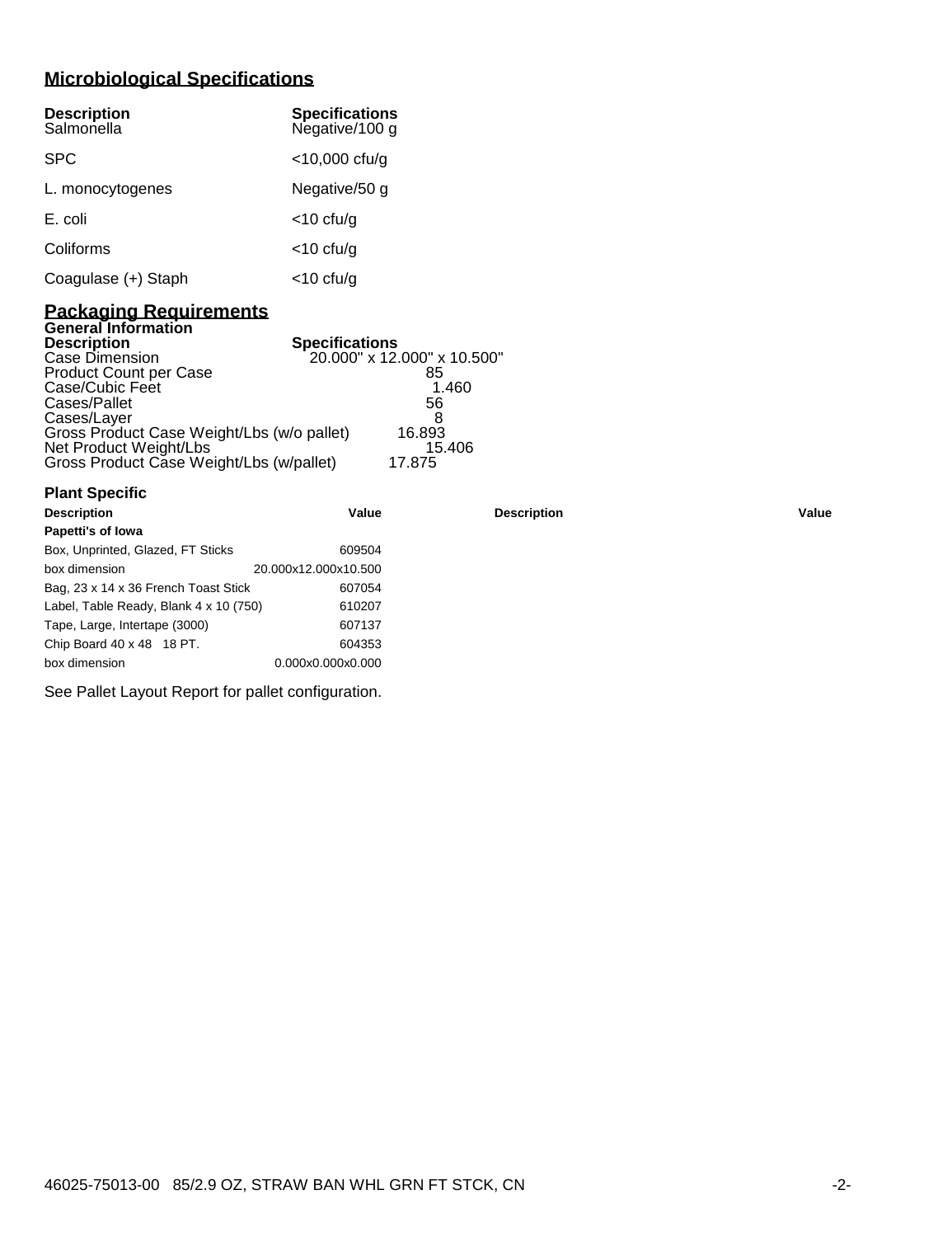# **Microbiological Specifications**

| <b>Description</b><br>Salmonella | <b>Specifications</b><br>Negative/100 g |
|----------------------------------|-----------------------------------------|
| <b>SPC</b>                       | $<$ 10,000 cfu/g                        |
| L. monocytogenes                 | Negative/50 g                           |
| E. coli                          | $<$ 10 cfu/g                            |
| Coliforms                        | $<$ 10 cfu/g                            |
| Coagulase (+) Staph              | $<$ 10 cfu/g                            |

### **Packaging Requirements General Information**

**Plant Specific**

| <b>Description</b>                         | <b>Specifications</b>       |
|--------------------------------------------|-----------------------------|
| Case Dimension                             | 20.000" x 12.000" x 10.500" |
| <b>Product Count per Case</b>              | 85                          |
| Case/Cubic Feet                            | 1.460                       |
| Cases/Pallet                               | 56                          |
| Cases/Layer                                |                             |
| Gross Product Case Weight/Lbs (w/o pallet) | 16.893                      |
| Net Product Weight/Lbs                     | 15.406                      |
| Gross Product Case Weight/Lbs (w/pallet)   | 17.875                      |

| <b>Description</b>                     | Value                | <b>Description</b> | Value |
|----------------------------------------|----------------------|--------------------|-------|
| Papetti's of lowa                      |                      |                    |       |
| Box, Unprinted, Glazed, FT Sticks      | 609504               |                    |       |
| box dimension                          | 20.000x12.000x10.500 |                    |       |
| Bag, 23 x 14 x 36 French Toast Stick   | 607054               |                    |       |
| Label, Table Ready, Blank 4 x 10 (750) | 610207               |                    |       |
| Tape, Large, Intertape (3000)          | 607137               |                    |       |
| Chip Board 40 x 48 18 PT.              | 604353               |                    |       |
| box dimension                          | 0.000x0.000x0.000    |                    |       |
|                                        |                      |                    |       |

See Pallet Layout Report for pallet configuration.